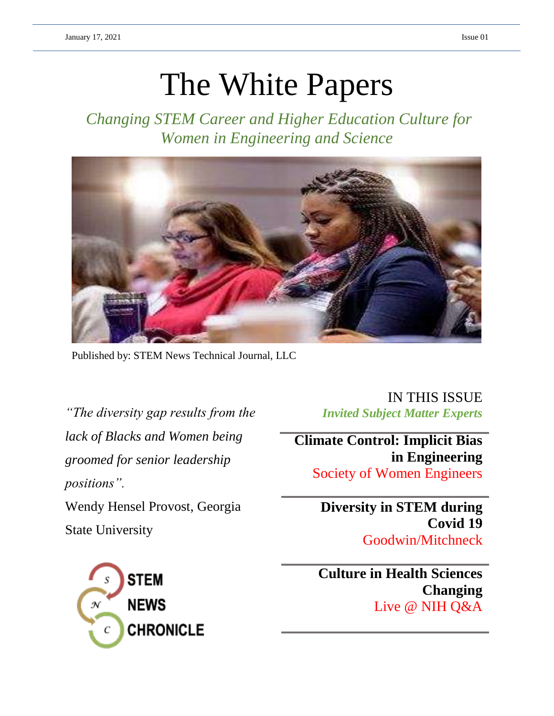# The White Papers

*Changing STEM Career and Higher Education Culture for Women in Engineering and Science*



Published by: STEM News Technical Journal, LLC

*"The diversity gap results from the lack of Blacks and Women being groomed for senior leadership positions".*  Wendy Hensel Provost, Georgia State University

**STEM NEWS CHRONICLE** 

IN THIS ISSUE *Invited Subject Matter Experts* 

**Climate Control: Implicit Bias in Engineering** Society of Women Engineers

> **Diversity in STEM during Covid 19** Goodwin/Mitchneck

> **Culture in Health Sciences Changing**  Live @ NIH Q&A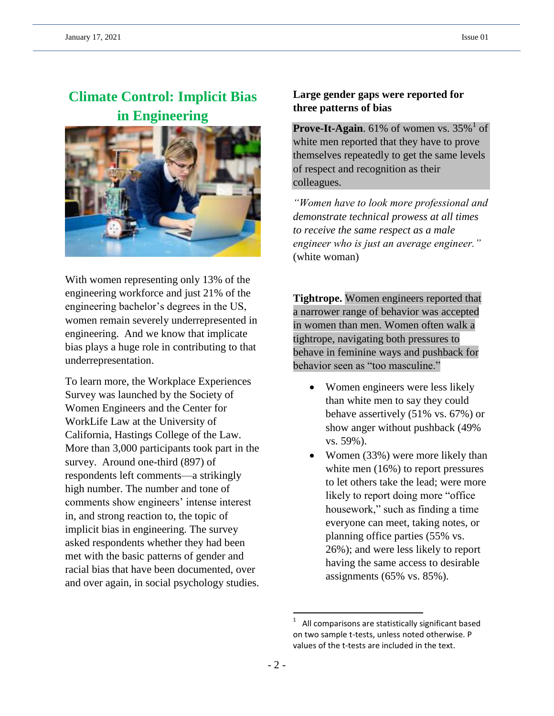# **Climate Control: Implicit Bias in Engineering**



With women representing only 13% of the engineering workforce and just 21% of the engineering bachelor's degrees in the US, women remain severely underrepresented in engineering. And we know that implicate bias plays a huge role in contributing to that underrepresentation.

To learn more, the Workplace Experiences Survey was launched by the Society of Women Engineers and the Center for WorkLife Law at the University of California, Hastings College of the Law. More than 3,000 participants took part in the survey. Around one-third (897) of respondents left comments—a strikingly high number. The number and tone of comments show engineers' intense interest in, and strong reaction to, the topic of implicit bias in engineering. The survey asked respondents whether they had been met with the basic patterns of gender and racial bias that have been documented, over and over again, in social psychology studies.

## **Large gender gaps were reported for three patterns of bias**

**Prove-It-Again**. 61% of women vs.  $35\%$ <sup>1</sup> of white men reported that they have to prove themselves repeatedly to get the same levels of respect and recognition as their colleagues.

*"Women have to look more professional and demonstrate technical prowess at all times to receive the same respect as a male engineer who is just an average engineer."* (white woman)

**Tightrope.** Women engineers reported that a narrower range of behavior was accepted in women than men. Women often walk a tightrope, navigating both pressures to behave in feminine ways and pushback for behavior seen as "too masculine."

- Women engineers were less likely than white men to say they could behave assertively (51% vs. 67%) or show anger without pushback (49% vs. 59%).
- Women (33%) were more likely than white men (16%) to report pressures to let others take the lead; were more likely to report doing more "office housework," such as finding a time everyone can meet, taking notes, or planning office parties (55% vs. 26%); and were less likely to report having the same access to desirable assignments (65% vs. 85%).

 $\overline{\phantom{a}}$ 

<sup>1</sup> All comparisons are statistically significant based on two sample t-tests, unless noted otherwise. P values of the t-tests are included in the text.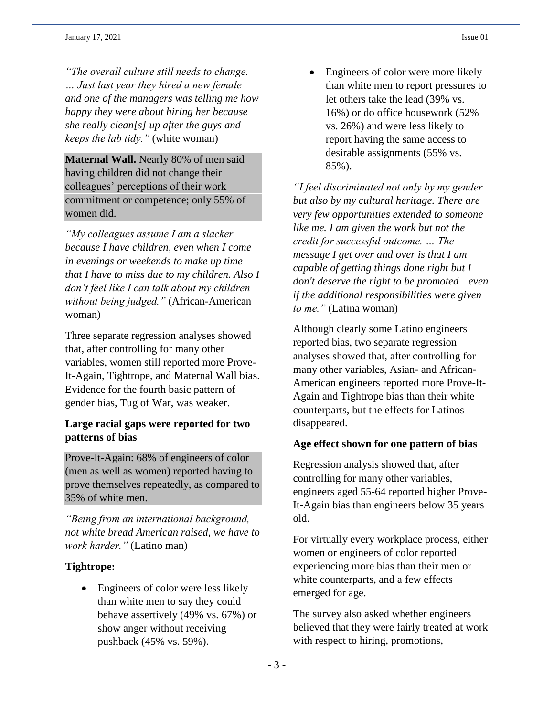*"The overall culture still needs to change. … Just last year they hired a new female and one of the managers was telling me how happy they were about hiring her because she really clean[s] up after the guys and keeps the lab tidy."* (white woman)

**Maternal Wall.** Nearly 80% of men said having children did not change their colleagues' perceptions of their work commitment or competence; only 55% of women did.

*"My colleagues assume I am a slacker because I have children, even when I come in evenings or weekends to make up time that I have to miss due to my children. Also I don't feel like I can talk about my children without being judged."* (African-American woman)

Three separate regression analyses showed that, after controlling for many other variables, women still reported more Prove-It-Again, Tightrope, and Maternal Wall bias. Evidence for the fourth basic pattern of gender bias, Tug of War, was weaker.

## **Large racial gaps were reported for two patterns of bias**

Prove-It-Again: 68% of engineers of color (men as well as women) reported having to prove themselves repeatedly, as compared to 35% of white men.

*"Being from an international background, not white bread American raised, we have to work harder."* (Latino man)

## **Tightrope:**

• Engineers of color were less likely than white men to say they could behave assertively (49% vs. 67%) or show anger without receiving pushback (45% vs. 59%).

• Engineers of color were more likely than white men to report pressures to let others take the lead (39% vs. 16%) or do office housework (52% vs. 26%) and were less likely to report having the same access to desirable assignments (55% vs. 85%).

*"I feel discriminated not only by my gender but also by my cultural heritage. There are very few opportunities extended to someone like me. I am given the work but not the credit for successful outcome. … The message I get over and over is that I am capable of getting things done right but I don't deserve the right to be promoted—even if the additional responsibilities were given to me."* (Latina woman)

Although clearly some Latino engineers reported bias, two separate regression analyses showed that, after controlling for many other variables, Asian- and African-American engineers reported more Prove-It-Again and Tightrope bias than their white counterparts, but the effects for Latinos disappeared.

## **Age effect shown for one pattern of bias**

Regression analysis showed that, after controlling for many other variables, engineers aged 55-64 reported higher Prove-It-Again bias than engineers below 35 years old.

For virtually every workplace process, either women or engineers of color reported experiencing more bias than their men or white counterparts, and a few effects emerged for age.

The survey also asked whether engineers believed that they were fairly treated at work with respect to hiring, promotions,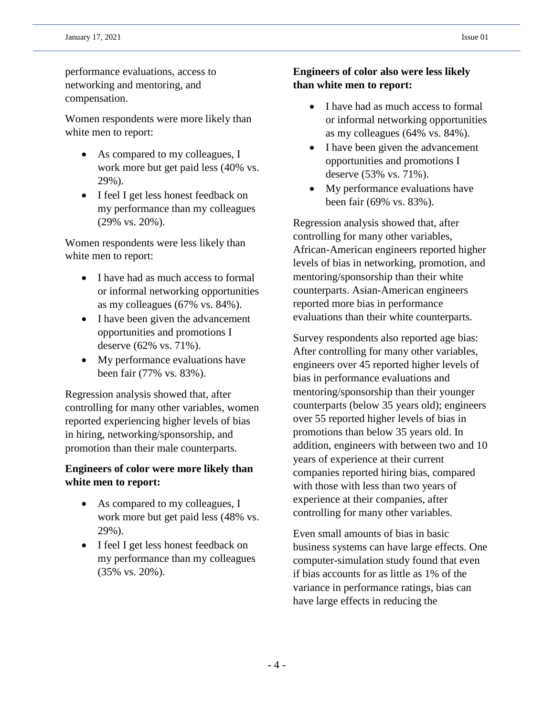performance evaluations, access to networking and mentoring, and compensation.

Women respondents were more likely than white men to report:

- As compared to my colleagues, I work more but get paid less (40% vs. 29%).
- I feel I get less honest feedback on my performance than my colleagues (29% vs. 20%).

Women respondents were less likely than white men to report:

- I have had as much access to formal or informal networking opportunities as my colleagues (67% vs. 84%).
- I have been given the advancement opportunities and promotions I deserve (62% vs. 71%).
- My performance evaluations have been fair (77% vs. 83%).

Regression analysis showed that, after controlling for many other variables, women reported experiencing higher levels of bias in hiring, networking/sponsorship, and promotion than their male counterparts.

## **Engineers of color were more likely than white men to report:**

- As compared to my colleagues, I work more but get paid less (48% vs. 29%).
- I feel I get less honest feedback on my performance than my colleagues (35% vs. 20%).

## **Engineers of color also were less likely than white men to report:**

- I have had as much access to formal or informal networking opportunities as my colleagues (64% vs. 84%).
- I have been given the advancement opportunities and promotions I deserve (53% vs. 71%).
- My performance evaluations have been fair (69% vs. 83%).

Regression analysis showed that, after controlling for many other variables, African-American engineers reported higher levels of bias in networking, promotion, and mentoring/sponsorship than their white counterparts. Asian-American engineers reported more bias in performance evaluations than their white counterparts.

Survey respondents also reported age bias: After controlling for many other variables, engineers over 45 reported higher levels of bias in performance evaluations and mentoring/sponsorship than their younger counterparts (below 35 years old); engineers over 55 reported higher levels of bias in promotions than below 35 years old. In addition, engineers with between two and 10 years of experience at their current companies reported hiring bias, compared with those with less than two years of experience at their companies, after controlling for many other variables.

Even small amounts of bias in basic business systems can have large effects. One computer-simulation study found that even if bias accounts for as little as 1% of the variance in performance ratings, bias can have large effects in reducing the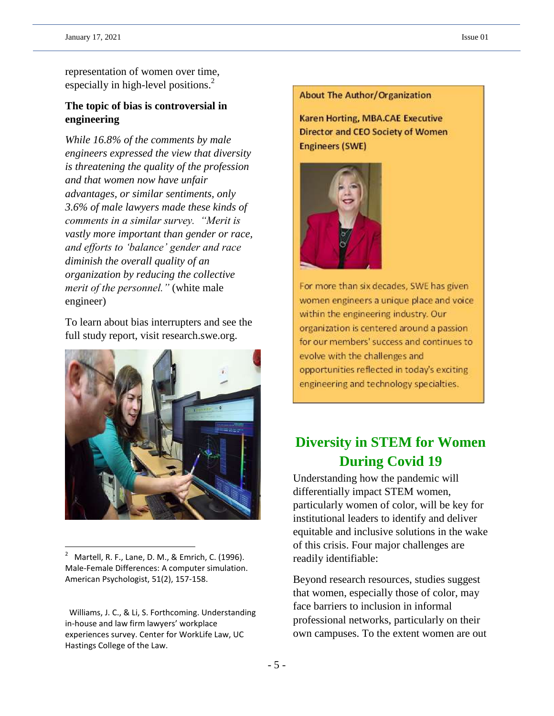representation of women over time, especially in high-level positions.<sup>2</sup>

## **The topic of bias is controversial in engineering**

*While 16.8% of the comments by male engineers expressed the view that diversity is threatening the quality of the profession and that women now have unfair advantages, or similar sentiments, only 3.6% of male lawyers made these kinds of comments in a similar survey. "Merit is vastly more important than gender or race, and efforts to 'balance' gender and race diminish the overall quality of an organization by reducing the collective merit of the personnel."* (white male engineer)

To learn about bias interrupters and see the full study report, visit research.swe.org.



<sup>2</sup> Martell, R. F., Lane, D. M., & Emrich, C. (1996). Male-Female Differences: A computer simulation. American Psychologist, 51(2), 157-158.

 $\overline{\phantom{a}}$ 

#### **About The Author/Organization**

**Karen Horting, MBA.CAE Executive Director and CEO Society of Women Engineers (SWE)** 



For more than six decades, SWE has given women engineers a unique place and voice within the engineering industry. Our organization is centered around a passion for our members' success and continues to evolve with the challenges and opportunities reflected in today's exciting engineering and technology specialties.

# **Diversity in STEM for Women During Covid 19**

Understanding how the pandemic will differentially impact STEM women, particularly women of color, will be key for institutional leaders to identify and deliver equitable and inclusive solutions in the wake of this crisis. Four major challenges are readily identifiable:

Beyond research resources, studies suggest that women, especially those of color, may face barriers to inclusion in informal professional networks, particularly on their own campuses. To the extent women are out

Williams, J. C., & Li, S. Forthcoming. Understanding in-house and law firm lawyers' workplace experiences survey. Center for WorkLife Law, UC Hastings College of the Law.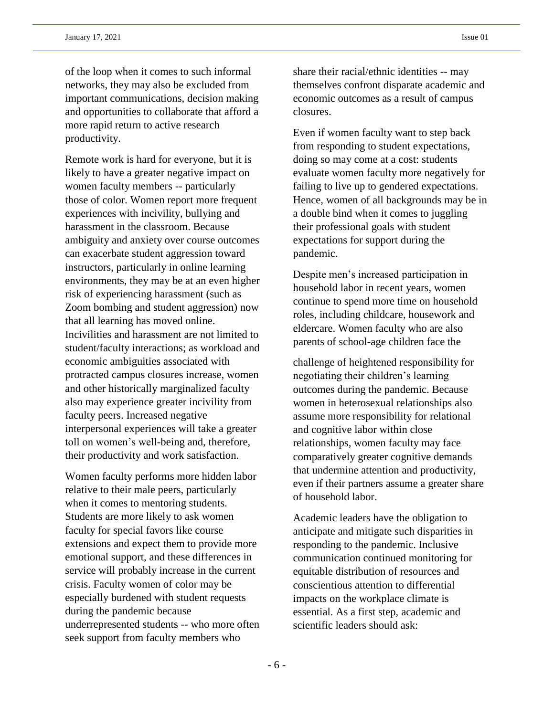of the loop when it comes to such informal networks, they may also be excluded from important communications, decision making and opportunities to collaborate that afford a more rapid return to active research productivity.

Remote work is hard for everyone, but it is likely to have a greater negative impact on women faculty members -- particularly those of color. Women report more frequent experiences with incivility, bullying and harassment in the classroom. Because ambiguity and anxiety over course outcomes can exacerbate student aggression toward instructors, particularly in online learning environments, they may be at an even higher risk of experiencing harassment (such as Zoom bombing and student aggression) now that all learning has moved online. Incivilities and harassment are not limited to student/faculty interactions; as workload and economic ambiguities associated with protracted campus closures increase, women and other historically marginalized faculty also may experience greater incivility from faculty peers. Increased negative interpersonal experiences will take a greater toll on women's well-being and, therefore, their productivity and work satisfaction.

Women faculty performs more hidden labor relative to their male peers, particularly when it comes to mentoring students. Students are more likely to ask women faculty for special favors like course extensions and expect them to provide more emotional support, and these differences in service will probably increase in the current crisis. Faculty women of color may be especially burdened with student requests during the pandemic because underrepresented students -- who more often seek support from faculty members who

share their racial/ethnic identities -- may themselves confront disparate academic and economic outcomes as a result of campus closures.

Even if women faculty want to step back from responding to student expectations, doing so may come at a cost: students evaluate women faculty more negatively for failing to live up to gendered expectations. Hence, women of all backgrounds may be in a double bind when it comes to juggling their professional goals with student expectations for support during the pandemic.

Despite men's increased participation in household labor in recent years, women continue to spend more time on household roles, including childcare, housework and eldercare. Women faculty who are also parents of school-age children face the

challenge of heightened responsibility for negotiating their children's learning outcomes during the pandemic. Because women in heterosexual relationships also assume more responsibility for relational and cognitive labor within close relationships, women faculty may face comparatively greater cognitive demands that undermine attention and productivity, even if their partners assume a greater share of household labor.

Academic leaders have the obligation to anticipate and mitigate such disparities in responding to the pandemic. Inclusive communication continued monitoring for equitable distribution of resources and conscientious attention to differential impacts on the workplace climate is essential. As a first step, academic and scientific leaders should ask: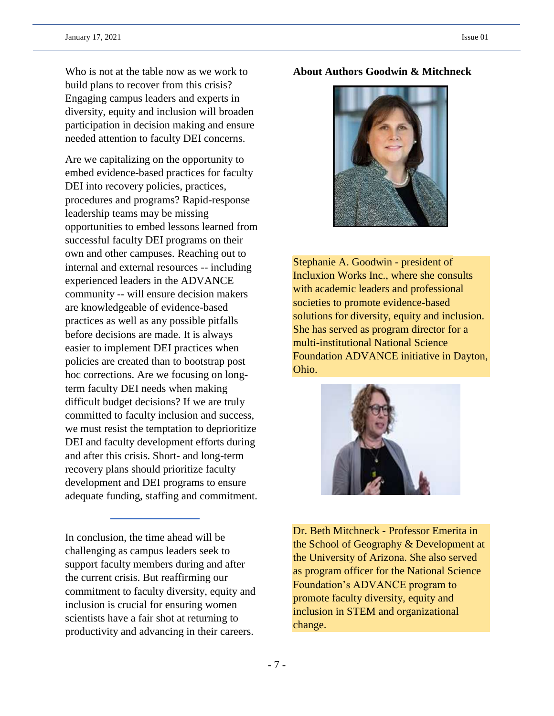Who is not at the table now as we work to build plans to recover from this crisis? Engaging campus leaders and experts in diversity, equity and inclusion will broaden participation in decision making and ensure needed attention to faculty DEI concerns.

Are we capitalizing on the opportunity to embed evidence-based practices for faculty DEI into recovery policies, practices, procedures and programs? Rapid-response leadership teams may be missing opportunities to embed lessons learned from successful faculty DEI programs on their own and other campuses. Reaching out to internal and external resources -- including experienced leaders in the ADVANCE community -- will ensure decision makers are knowledgeable of evidence-based practices as well as any possible pitfalls before decisions are made. It is always easier to implement DEI practices when policies are created than to bootstrap post hoc corrections. Are we focusing on longterm faculty DEI needs when making difficult budget decisions? If we are truly committed to faculty inclusion and success, we must resist the temptation to deprioritize DEI and faculty development efforts during and after this crisis. Short- and long-term recovery plans should prioritize faculty development and DEI programs to ensure adequate funding, staffing and commitment.

In conclusion, the time ahead will be challenging as campus leaders seek to support faculty members during and after the current crisis. But reaffirming our commitment to faculty diversity, equity and inclusion is crucial for ensuring women scientists have a fair shot at returning to productivity and advancing in their careers.

## **About Authors Goodwin & Mitchneck**



Stephanie A. Goodwin - president of Incluxion Works Inc., where she consults with academic leaders and professional societies to promote evidence-based solutions for diversity, equity and inclusion. She has served as program director for a multi-institutional National Science Foundation ADVANCE initiative in Dayton, Ohio.



Dr. Beth Mitchneck - Professor Emerita in the School of Geography & Development at the University of Arizona. She also served as program officer for the National Science Foundation's ADVANCE program to promote faculty diversity, equity and inclusion in STEM and organizational change.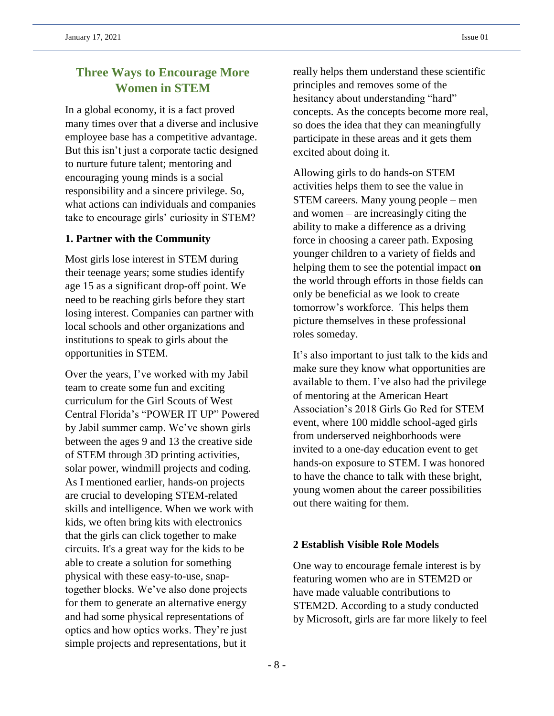## **Three Ways to Encourage More Women in STEM**

In a global economy, it is a fact proved many times over that a diverse and inclusive employee base has a competitive advantage. But this isn't just a corporate tactic designed to nurture future talent; mentoring and encouraging young minds is a social responsibility and a sincere privilege. So, what actions can individuals and companies take to encourage girls' curiosity in STEM?

## **1. Partner with the Community**

Most girls lose interest in STEM during their teenage years; some studies identify age 15 as a significant drop-off point. We need to be reaching girls before they start losing interest. Companies can partner with local schools and other organizations and institutions to speak to girls about the opportunities in STEM.

Over the years, I've worked with my Jabil team to create some fun and exciting curriculum for the Girl Scouts of West Central Florida's "POWER IT UP" Powered by Jabil summer camp. We've shown girls between the ages 9 and 13 the creative side of STEM through 3D printing activities, solar power, windmill projects and coding. As I mentioned earlier, hands-on projects are crucial to developing STEM-related skills and intelligence. When we work with kids, we often bring kits with electronics that the girls can click together to make circuits. It's a great way for the kids to be able to create a solution for something physical with these easy-to-use, snaptogether blocks. We've also done projects for them to generate an alternative energy and had some physical representations of optics and how optics works. They're just simple projects and representations, but it

really helps them understand these scientific principles and removes some of the hesitancy about understanding "hard" concepts. As the concepts become more real, so does the idea that they can meaningfully participate in these areas and it gets them excited about doing it.

Allowing girls to do hands-on STEM activities helps them to see the value in STEM careers. Many young people – men and women – are increasingly citing the ability to make a difference as a driving force in choosing a career path. Exposing younger children to a variety of fields and helping them to see the potential impact **on**  the world through efforts in those fields can only be beneficial as we look to create tomorrow's workforce. This helps them picture themselves in these professional roles someday.

It's also important to just talk to the kids and make sure they know what opportunities are available to them. I've also had the privilege of mentoring at the American Heart Association's 2018 Girls Go Red for STEM event, where 100 middle school-aged girls from underserved neighborhoods were invited to a one-day education event to get hands-on exposure to STEM. I was honored to have the chance to talk with these bright, young women about the career possibilities out there waiting for them.

## **2 Establish Visible Role Models**

One way to encourage female interest is by featuring women who are in STEM2D or have made valuable contributions to STEM2D. According to a study conducted by Microsoft, girls are far more likely to feel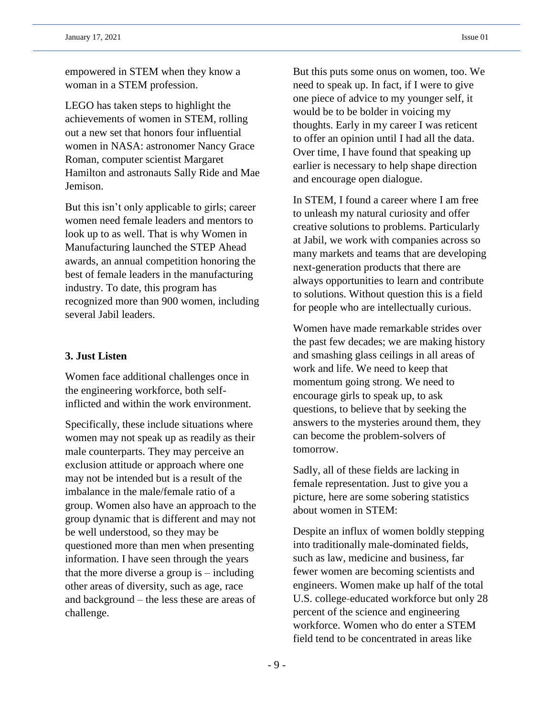empowered in STEM when they know a woman in a STEM profession.

LEGO has taken steps to highlight the achievements of women in STEM, rolling out a new set that honors four influential women in NASA: astronomer Nancy Grace Roman, computer scientist Margaret Hamilton and astronauts Sally Ride and Mae Jemison.

But this isn't only applicable to girls; career women need female leaders and mentors to look up to as well. That is why Women in Manufacturing launched the STEP Ahead awards, an annual competition honoring the best of female leaders in the manufacturing industry. To date, this program has recognized more than 900 women, including several Jabil leaders.

#### **3. Just Listen**

Women face additional challenges once in the engineering workforce, both selfinflicted and within the work environment.

Specifically, these include situations where women may not speak up as readily as their male counterparts. They may perceive an exclusion attitude or approach where one may not be intended but is a result of the imbalance in the male/female ratio of a group. Women also have an approach to the group dynamic that is different and may not be well understood, so they may be questioned more than men when presenting information. I have seen through the years that the more diverse a group is – including other areas of diversity, such as age, race and background – the less these are areas of challenge.

But this puts some onus on women, too. We need to speak up. In fact, if I were to give one piece of advice to my younger self, it would be to be bolder in voicing my thoughts. Early in my career I was reticent to offer an opinion until I had all the data. Over time, I have found that speaking up earlier is necessary to help shape direction and encourage open dialogue.

In STEM, I found a career where I am free to unleash my natural curiosity and offer creative solutions to problems. Particularly at Jabil, we work with companies across so many markets and teams that are developing next-generation products that there are always opportunities to learn and contribute to solutions. Without question this is a field for people who are intellectually curious.

Women have made remarkable strides over the past few decades; we are making history and smashing glass ceilings in all areas of work and life. We need to keep that momentum going strong. We need to encourage girls to speak up, to ask questions, to believe that by seeking the answers to the mysteries around them, they can become the problem-solvers of tomorrow.

Sadly, all of these fields are lacking in female representation. Just to give you a picture, here are some sobering statistics about women in STEM:

Despite an influx of women boldly stepping into traditionally male-dominated fields, such as law, medicine and business, far fewer women are becoming scientists and engineers. Women make up half of the total U.S. college**-**educated workforce but only 28 percent of the science and engineering workforce. Women who do enter a STEM field tend to be concentrated in areas like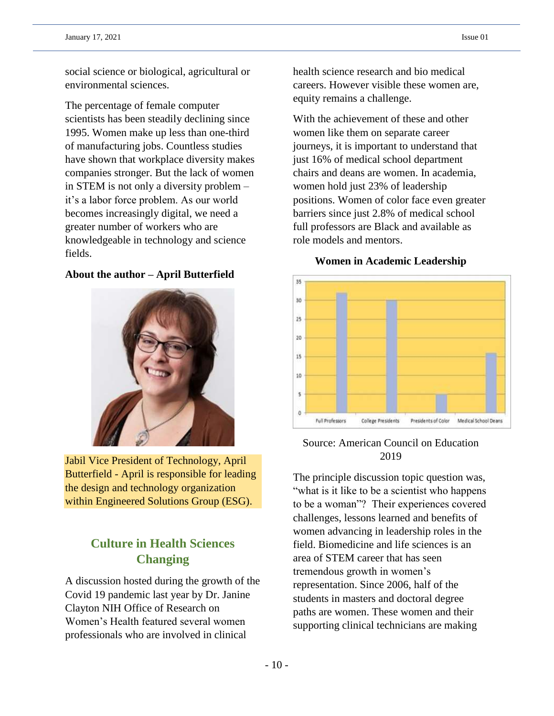social science or biological, agricultural or environmental sciences.

The percentage of female computer scientists has been steadily declining since 1995. Women make up less than one-third of manufacturing jobs. Countless studies have shown that workplace diversity makes companies stronger. But the lack of women in STEM is not only a diversity problem – it's a labor force problem. As our world becomes increasingly digital, we need a greater number of workers who are knowledgeable in technology and science fields.

## **About the author – April Butterfield**



Jabil Vice President of Technology, April Butterfield - April is responsible for leading the design and technology organization within Engineered Solutions Group (ESG).

## **Culture in Health Sciences Changing**

A discussion hosted during the growth of the Covid 19 pandemic last year by Dr. Janine Clayton NIH Office of Research on Women's Health featured several women professionals who are involved in clinical

health science research and bio medical careers. However visible these women are, equity remains a challenge.

With the achievement of these and other women like them on separate career journeys, it is important to understand that just 16% of medical school department chairs and deans are women. In academia, women hold just 23% of leadership positions. Women of color face even greater barriers since just 2.8% of medical school full professors are Black and available as role models and mentors.

## **Women in Academic Leadership**



## Source: American Council on Education 2019

The principle discussion topic question was, "what is it like to be a scientist who happens to be a woman"? Their experiences covered challenges, lessons learned and benefits of women advancing in leadership roles in the field. Biomedicine and life sciences is an area of STEM career that has seen tremendous growth in women's representation. Since 2006, half of the students in masters and doctoral degree paths are women. These women and their supporting clinical technicians are making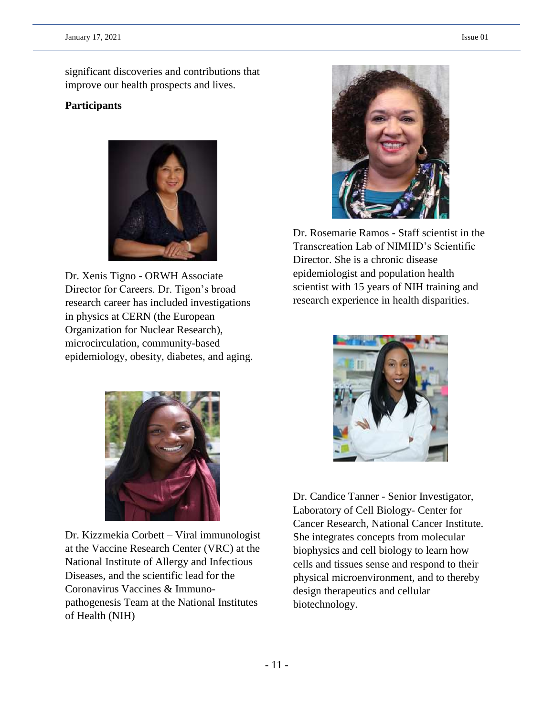significant discoveries and contributions that improve our health prospects and lives.

## **Participants**



Dr. Xenis Tigno - ORWH Associate Director for Careers. Dr. Tigon's broad research career has included investigations in physics at CERN (the European Organization for Nuclear Research), microcirculation, community-based epidemiology, obesity, diabetes, and aging.



Dr. Kizzmekia Corbett – Viral immunologist at the Vaccine Research Center (VRC) at the National Institute of Allergy and Infectious Diseases, and the scientific lead for the Coronavirus Vaccines & Immunopathogenesis Team at the National Institutes of Health (NIH)



Dr. Rosemarie Ramos - Staff scientist in the Transcreation Lab of NIMHD's Scientific Director. She is a chronic disease epidemiologist and population health scientist with 15 years of NIH training and research experience in health disparities.



Dr. Candice Tanner - Senior Investigator, Laboratory of Cell Biology- Center for Cancer Research, National Cancer Institute. She integrates concepts from molecular biophysics and cell biology to learn how cells and tissues sense and respond to their physical microenvironment, and to thereby design therapeutics and cellular biotechnology.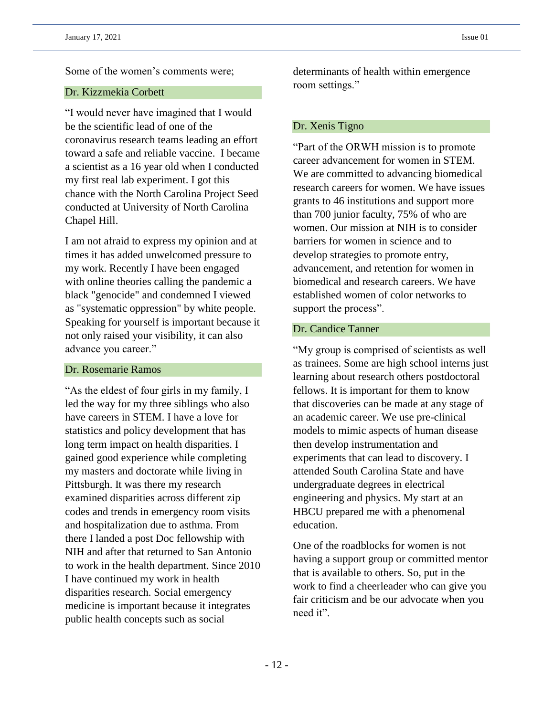Some of the women's comments were;

### Dr. Kizzmekia Corbett

"I would never have imagined that I would be the scientific lead of one of the coronavirus research teams leading an effort toward a safe and reliable vaccine. I became a scientist as a 16 year old when I conducted my first real lab experiment. I got this chance with the North Carolina Project Seed conducted at University of North Carolina Chapel Hill.

I am not afraid to express my opinion and at times it has added unwelcomed pressure to my work. Recently I have been engaged with online theories calling the pandemic a black "genocide" and condemned I viewed as "systematic oppression" by white people. Speaking for yourself is important because it not only raised your visibility, it can also advance you career."

### Dr. Rosemarie Ramos

"As the eldest of four girls in my family, I led the way for my three siblings who also have careers in STEM. I have a love for statistics and policy development that has long term impact on health disparities. I gained good experience while completing my masters and doctorate while living in Pittsburgh. It was there my research examined disparities across different zip codes and trends in emergency room visits and hospitalization due to asthma. From there I landed a post Doc fellowship with NIH and after that returned to San Antonio to work in the health department. Since 2010 I have continued my work in health disparities research. Social emergency medicine is important because it integrates public health concepts such as social

determinants of health within emergence room settings."

### Dr. Xenis Tigno

"Part of the ORWH mission is to promote career advancement for women in STEM. We are committed to advancing biomedical research careers for women. We have issues grants to 46 institutions and support more than 700 junior faculty, 75% of who are women. Our mission at NIH is to consider barriers for women in science and to develop strategies to promote entry, advancement, and retention for women in biomedical and research careers. We have established women of color networks to support the process".

## Dr. Candice Tanner

"My group is comprised of scientists as well as trainees. Some are high school interns just learning about research others postdoctoral fellows. It is important for them to know that discoveries can be made at any stage of an academic career. We use pre-clinical models to mimic aspects of human disease then develop instrumentation and experiments that can lead to discovery. I attended South Carolina State and have undergraduate degrees in electrical engineering and physics. My start at an HBCU prepared me with a phenomenal education.

One of the roadblocks for women is not having a support group or committed mentor that is available to others. So, put in the work to find a cheerleader who can give you fair criticism and be our advocate when you need it".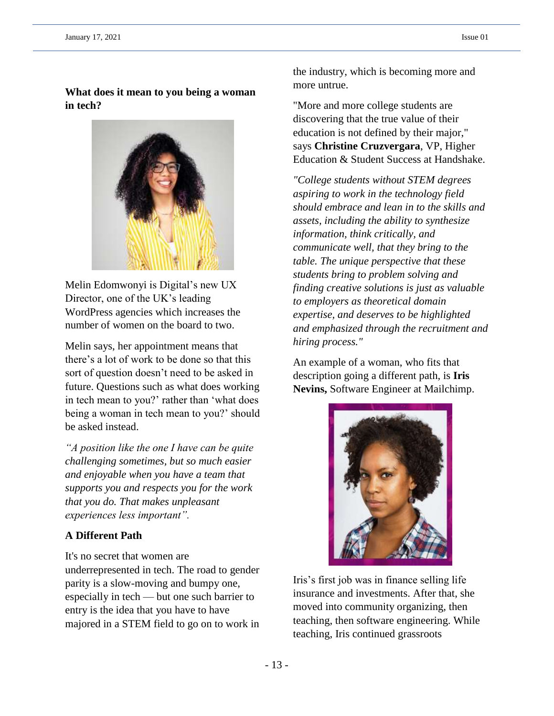## **What does it mean to you being a woman in tech?**



Melin Edomwonyi is Digital's new UX Director, one of the UK's leading WordPress agencies which increases the number of women on the board to two.

Melin says, her appointment means that there's a lot of work to be done so that this sort of question doesn't need to be asked in future. Questions such as what does working in tech mean to you?' rather than 'what does being a woman in tech mean to you?' should be asked instead.

*"A position like the one I have can be quite challenging sometimes, but so much easier and enjoyable when you have a team that supports you and respects you for the work that you do. That makes unpleasant experiences less important".*

## **A Different Path**

It's no secret that women are underrepresented in tech. The road to gender parity is a slow-moving and bumpy one, especially in tech — but one such barrier to entry is the idea that you have to have majored in a STEM field to go on to work in the industry, which is becoming more and more untrue.

"More and more college students are discovering that the true value of their education is not defined by their major," says **Christine Cruzvergara**, VP, Higher Education & Student Success at Handshake.

*"College students without STEM degrees aspiring to work in the technology field should embrace and lean in to the skills and assets, including the ability to synthesize information, think critically, and communicate well, that they bring to the table. The unique perspective that these students bring to problem solving and finding creative solutions is just as valuable to employers as theoretical domain expertise, and deserves to be highlighted and emphasized through the recruitment and hiring process."*

An example of a woman, who fits that description going a different path, is **Iris Nevins,** Software Engineer at Mailchimp.



Iris's first job was in finance selling life insurance and investments. After that, she moved into community organizing, then teaching, then software engineering. While teaching, Iris continued grassroots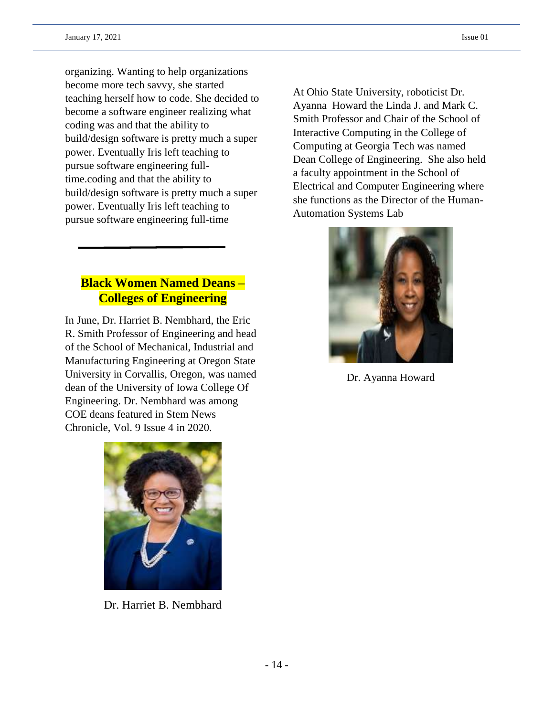organizing. Wanting to help organizations become more tech savvy, she started teaching herself how to code. She decided to become a software engineer realizing what coding was and that the ability to build/design software is pretty much a super power. Eventually Iris left teaching to pursue software engineering fulltime.coding and that the ability to build/design software is pretty much a super power. Eventually Iris left teaching to pursue software engineering full-time

## **Black Women Named Deans – Colleges of Engineering**

In June, Dr. Harriet B. Nembhard, the Eric R. Smith Professor of Engineering and head of the School of Mechanical, Industrial and Manufacturing Engineering at Oregon State University in Corvallis, Oregon, was named dean of the University of Iowa College Of Engineering. Dr. Nembhard was among COE deans featured in Stem News Chronicle, Vol. 9 Issue 4 in 2020.

At Ohio State University, roboticist Dr. Ayanna Howard the Linda J. and Mark C. Smith Professor and Chair of the School of Interactive Computing in the College of Computing at Georgia Tech was named Dean College of Engineering. She also held a faculty appointment in the School of Electrical and Computer Engineering where she functions as the Director of the Human-Automation Systems Lab



Dr. Ayanna Howard



Dr. Harriet B. Nembhard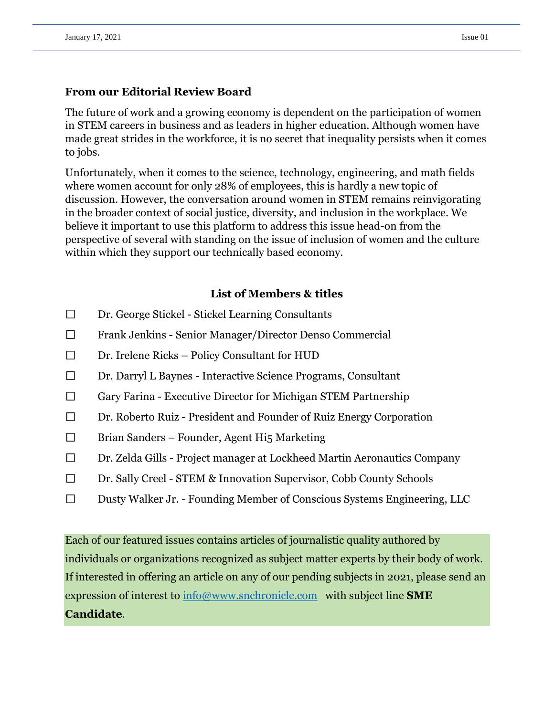## **From our Editorial Review Board**

The future of work and a growing economy is dependent on the participation of women in STEM careers in business and as leaders in higher education. Although women have made great strides in the workforce, it is no secret that inequality persists when it comes to jobs.

Unfortunately, when it comes to the science, technology, engineering, and math fields where women account for only 28% of employees, this is hardly a new topic of discussion. However, the conversation around women in STEM remains reinvigorating in the broader context of social justice, diversity, and inclusion in the workplace. We believe it important to use this platform to address this issue head-on from the perspective of several with standing on the issue of inclusion of women and the culture within which they support our technically based economy.

## **List of Members & titles**

- $\Box$ Dr. George Stickel - Stickel Learning Consultants
- $\Box$ Frank Jenkins - Senior Manager/Director Denso Commercial
- $\Box$ Dr. Irelene Ricks – Policy Consultant for HUD
- $\Box$ Dr. Darryl L Baynes - Interactive Science Programs, Consultant
- $\Box$ Gary Farina - Executive Director for Michigan STEM Partnership
- $\Box$ Dr. Roberto Ruiz - President and Founder of Ruiz Energy Corporation
- $\Box$ Brian Sanders – Founder, Agent Hi5 Marketing
- $\Box$ Dr. Zelda Gills - Project manager at Lockheed Martin Aeronautics Company
- $\Box$ Dr. Sally Creel - STEM & Innovation Supervisor, Cobb County Schools
- $\Box$ Dusty Walker Jr. - Founding Member of Conscious Systems Engineering, LLC

Each of our featured issues contains articles of journalistic quality authored by individuals or organizations recognized as subject matter experts by their body of work. If interested in offering an article on any of our pending subjects in 2021, please send an expression of interest to [info@www.snchronicle.com](mailto:info@www.snchronicle.com) with subject line **SME Candidate**.